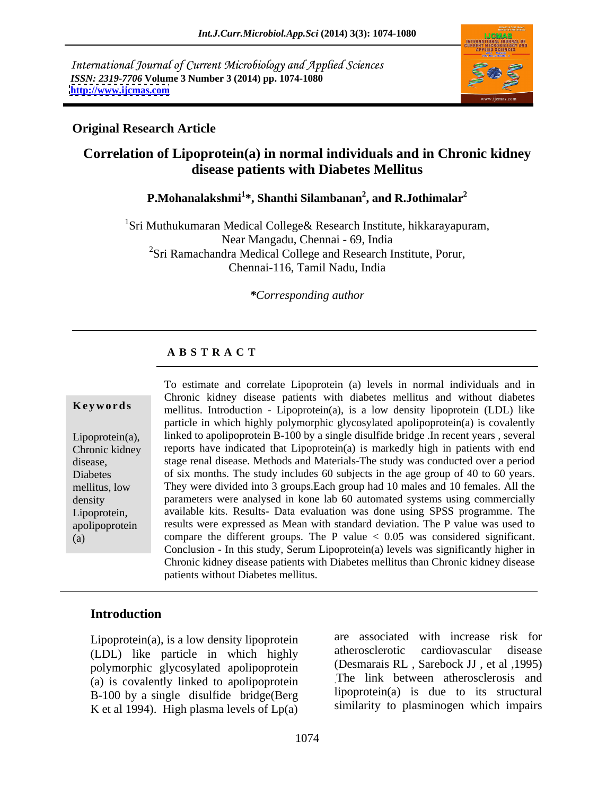International Journal of Current Microbiology and Applied Sciences *ISSN: 2319-7706* **Volume 3 Number 3 (2014) pp. 1074-1080 <http://www.ijcmas.com>**



### **Original Research Article**

# **Correlation of Lipoprotein(a) in normal individuals and in Chronic kidney disease patients with Diabetes Mellitus**

**P.Mohanalakshmi<sup>1</sup> \*, Shanthi Silambanan<sup>2</sup> , and R.Jothimalar<sup>2</sup>**

<sup>1</sup>Sri Muthukumaran Medical College & Research Institute, hikkarayapuram, Near Mangadu, Chennai - 69, India  ${}^{2}$ Sri Ramachandra Medical College and Research Institute, Porur, Chennai-116, Tamil Nadu, India

### *\*Corresponding author*

### **A B S T R A C T**

**Keywords** mellitus. Introduction - Lipoprotein(a), is a low density lipoprotein (LDL) like Lipoprotein(a), linked to apolipoprotein B-100 by a single disulfide bridge .In recent years , several Chronic kidney reports have indicated that Lipoprotein(a) is markedly high in patients with end disease, stage renal disease. Methods and Materials-The study was conducted over a period<br>Diabetes of six months. The study includes 60 subjects in the age group of 40 to 60 years. mellitus, low They were divided into 3 groups.Each group had 10 males and 10 females. All the density parameters were analysed in kone lab 60 automated systems using commercially Lipoprotein, available kits. Results- Data evaluation was done using SPSS programme. The apolipoprotein results were expressed as Mean with standard deviation. The P value was used to (a) compare the different groups. The P value < 0.05 was considered significant. To estimate and correlate Lipoprotein (a) levels in normal individuals and in Chronic kidney disease patients with diabetes mellitus and without diabetes particle in which highly polymorphic glycosylated apolipoprotein(a) is covalently stage renal disease. Methods and Materials-The study was conducted over a period Conclusion - In this study, Serum Lipoprotein(a) levels was significantly higher in Chronic kidney disease patients with Diabetes mellitus than Chronic kidney disease patients without Diabetes mellitus.

# **Introduction**

Lipoprotein(a), is a low density lipoprotein are associated with increase risk for  $(1 \text{ DI})$  like particle in which highly atherosclerotic cardiovascular disease (LDL) like particle in which highly polymorphic glycosylated apolipoprotein (a) is covalently linked to apolipoprotein B-100 by a single disulfide bridge(Berg K et al 1994). High plasma levels of  $Lp(a)$ 

are associated with increase risk for atherosclerotic cardiovascular disease (Desmarais RL , Sarebock JJ , et al ,1995) .The link between atherosclerosis and lipoprotein(a) is due to its structural similarity to plasminogen which impairs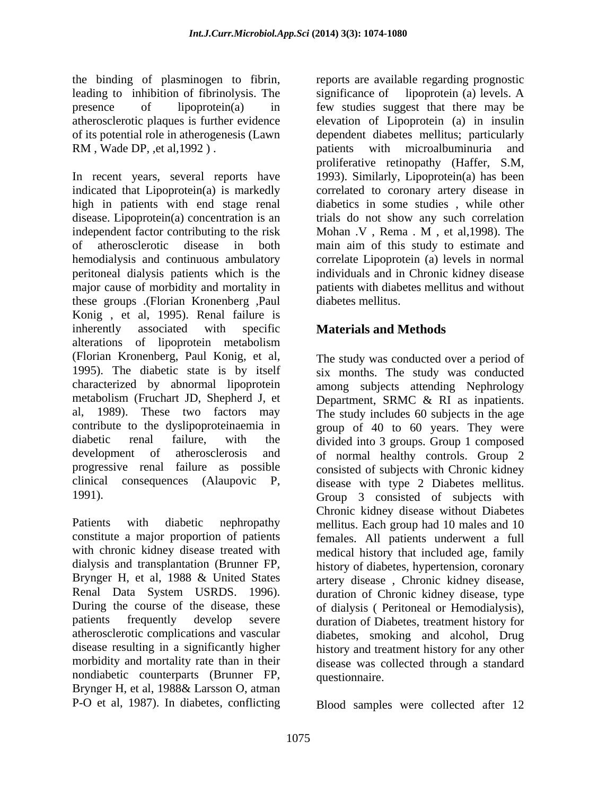the binding of plasminogen to fibrin, leading to inhibition of fibrinolysis. The significance of lipoprotein (a) levels. A RM, Wade DP, ,et al, 1992). patients with microal buminuria and

In recent years, several reports have 1993). Similarly, Lipoprotein(a) has been indicated that Lipoprotein(a) is markedly correlated to coronary artery disease in high in patients with end stage renal disease. Lipoprotein(a) concentration is an independent factor contributing to the risk Mohan V, Rema M, et al, 1998). The of atherosclerotic disease in both main aim of this study to estimate and hemodialysis and continuous ambulatory correlate Lipoprotein (a) levels in normal peritoneal dialysis patients which is the individuals and in Chronic kidney disease major cause of morbidity and mortality in these groups .(Florian Kronenberg ,Paul Konig , et al, 1995). Renal failure is inherently associated with specific **Materials and Methods** alterations of lipoprotein metabolism (Florian Kronenberg, Paul Konig, et al, The study was conducted over a period of 1995). The diabetic state is by itself six months. The study was conducted characterized by abnormal lipoprotein among subjects attending Nephrology metabolism (Fruchart JD, Shepherd J, et Department, SRMC & RI as inpatients. al, 1989). These two factors may The study includes 60 subjects in the age contribute to the dyslipoproteinaemia in group of 40 to 60 years. They were diabetic renal failure, with the divided into 3 groups. Group 1 composed development of atherosclerosis and of normal healthy controls. Group 2 progressive renal failure as possible clinical consequences (Alaupovic P, disease with type 2 Diabetes mellitus.

Patients with diabetic nephropathy mellitus. Each group had 10 males and 10 constitute a major proportion of patients females. All patients underwent a full with chronic kidney disease treated with medical history that included age, family dialysis and transplantation (Brunner FP, history of diabetes, hypertension, coronary Brynger H, et al, 1988 & United States artery disease , Chronic kidney disease, Renal Data System USRDS. 1996). duration of Chronic kidney disease, type During the course of the disease, these of dialysis ( Peritoneal or Hemodialysis), patients frequently develop severe duration of Diabetes, treatment history for atherosclerotic complications and vascular diabetes, smoking and alcohol, Drug disease resulting in a significantly higher history and treatment history for any other morbidity and mortality rate than in their disease was collected through a standard nondiabetic counterparts (Brunner FP, Brynger H, et al, 1988& Larsson O, atman

presence of lipoprotein(a) in few studies suggest that there may be atherosclerotic plaques is further evidence elevation of Lipoprotein (a) in insulin of its potential role in atherogenesis (Lawn dependent diabetes mellitus; particularly reports are available regarding prognostic significance of lipoprotein (a) levels. A patients with microalbuminuria and proliferative retinopathy (Haffer, S.M, diabetics in some studies, while other trials do not show any such correlation Mohan .V , Rema . M , et al,1998). The patients with diabetes mellitus and without diabetes mellitus.

# **Materials and Methods**

1991). Group 3 consisted of subjects with consisted of subjects with Chronic kidney Chronic kidney disease without Diabetes questionnaire.

P-O et al, 1987). In diabetes, conflicting Blood samples were collected after 12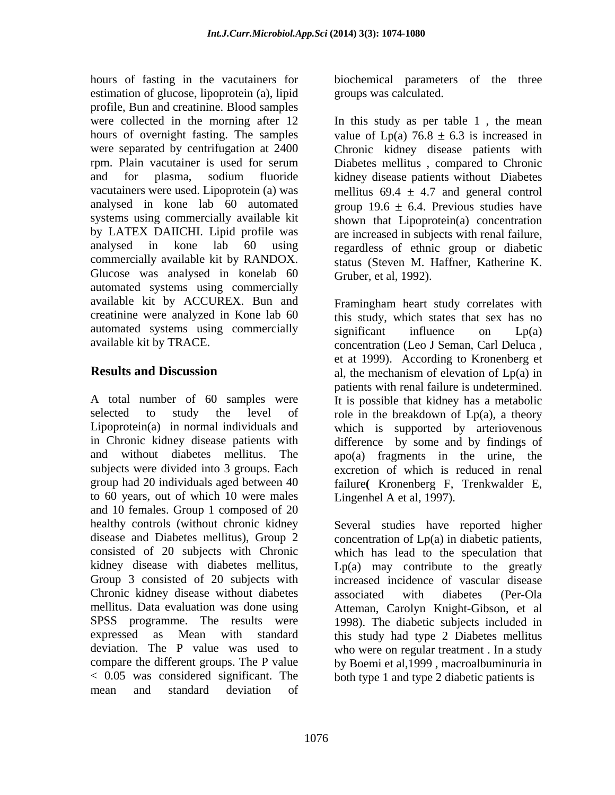hours of fasting in the vacutainers for biochemical parameters of the three estimation of glucose, lipoprotein (a), lipid profile, Bun and creatinine. Blood samples analysed in kone lab 60 automated systems using commercially available kit commercially available kit by RANDOX. Glucose was analysed in konelab 60 automated systems using commercially available kit by ACCUREX. Bun and automated systems using commercially significant influence on Lp(a)

subjects were divided into 3 groups. Each group had 20 individuals aged between 40 to 60 years, out of which 10 were males Lingenhel A et al, 1997). and 10 females. Group 1 composed of 20 healthy controls (without chronic kidney Several studies have reported higher disease and Diabetes mellitus), Group 2 concentration of Lp(a) in diabetic patients, consisted of 20 subjects with Chronic Chronic kidney disease without diabetes associated with diabetes (Per-Ola mellitus. Data evaluation was done using mean and standard deviation of

groups was calculated.

were collected in the morning after 12 In this study as per table 1 , the mean hours of overnight fasting. The samples value of  $Lp(a)$  76.8  $\pm$  6.3 is increased in were separated by centrifugation at 2400 Chronic kidney disease patients with rpm. Plain vacutainer is used for serum Diabetes mellitus , compared to Chronic and for plasma, sodium fluoride kidney disease patients without Diabetes vacutainers were used. Lipoprotein (a) was mellitus  $69.4 \pm 4.7$  and general control by LATEX DAIICHI. Lipid profile was are increased in subjects with renal failure, analysed in kone lab 60 using regardless of ethnic group or diabetic group 19.6  $\pm$  6.4. Previous studies have shown that Lipoprotein(a) concentration status (Steven M. Haffner, Katherine K. Gruber, et al, 1992).

creatinine were analyzed in Kone lab 60 this study, which states that sex has no available kit by TRACE. concentration (Leo J Seman, Carl Deluca , **Results and Discussion** al, the mechanism of elevation of Lp(a) in A total number of 60 samples were It is possible that kidney has a metabolic selected to study the level of role in the breakdown of Lp(a), a theory Lipoprotein(a) in normal individuals and which is supported by arteriovenous in Chronic kidney disease patients with difference by some and by findings of and without diabetes mellitus. The apo(a) fragments in the urine, the Framingham heart study correlates with significant influence on Lp(a) et at 1999). According to Kronenberg et patients with renal failure is undetermined. excretion of which is reduced in renal failure**(** Kronenberg F, Trenkwalder E,

kidney disease with diabetes mellitus, Lp(a) may contribute to the greatly Group 3 consisted of 20 subjects with increased incidence of vascular disease SPSS programme. The results were 1998). The diabetic subjects included in expressed as Mean with standard this study had type 2 Diabetes mellitus deviation. The P value was used to who were on regular treatment . In astudy compare the different groups. The P value by Boemi et al,1999 , macroalbuminuria in < 0.05 was considered significant. The both type 1 and type 2 diabetic patients is Lingenhel A et al, 1997). Several studies have reported higher concentration of Lp(a) in diabetic patients, which has lead to the speculation that associated with diabetes (Per-Ola Atteman, Carolyn Knight-Gibson, et al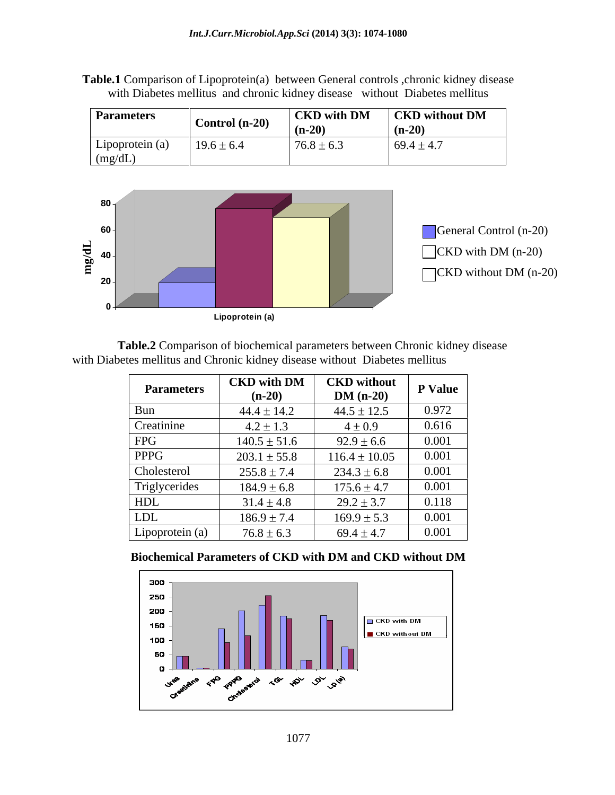**Table.1** Comparison of Lipoprotein(a) between General controls ,chronic kidney disease with Diabetes mellitus and chronic kidney disease without Diabetes mellitus

| <b>Parameters</b>                |                  |                | $\vert$ CKD with DM $\vert$ CKD without DM $\vert$ |
|----------------------------------|------------------|----------------|----------------------------------------------------|
|                                  | Control $(n-20)$ | $(n-20)$       | 111-207                                            |
| Lipoprotein (a)   $19.6 \pm 6.4$ |                  | $76.8 \pm 6.3$ | $69.4 \pm 4.7$                                     |
| (mg/dL)                          |                  |                |                                                    |



**Table.2** Comparison of biochemical parameters between Chronic kidney disease

| with Diabetes mellitus and Chronic kidney disease without Diabetes mellitus |                                     |                   |                |
|-----------------------------------------------------------------------------|-------------------------------------|-------------------|----------------|
| <b>Parameters</b>                                                           | CKD with DM CKD without<br>$(n-20)$ | $DM(n-20)$        | <b>P</b> Value |
|                                                                             | $44.4 \pm 14.2$                     | $44.5 \pm 12.5$   | 0.972          |
| Creatinine                                                                  | $4.2 \pm 1.3$                       | $4 \pm 0.9$       | 0.616          |
| FPG                                                                         | $140.5 \pm 51.6$                    | $92.9 \pm 6.6$    | 0.001          |
| PPPG                                                                        | $203.1 \pm 55.8$                    | $116.4 \pm 10.05$ | 0.001          |
| Cholesterol                                                                 | $255.8 \pm 7.4$                     | $234.3 \pm 6.8$   | 0.001          |
| Triglycerides                                                               | $184.9 \pm 6.8$                     | $175.6 \pm 4.7$   | 0.001          |
| HDL                                                                         | $31.4 \pm 4.8$                      | $29.2 \pm 3.7$    | 0.118          |
| <b>LDL</b>                                                                  | $186.9 \pm 7.4$                     | $169.9 \pm 5.3$   | 0.001          |
| Lipoprotein (a)                                                             | $76.8 \pm 6.3$                      | $69.4 \pm 4.7$    | 0.001          |

**Biochemical Parameters of CKD with DM and CKD without DM**

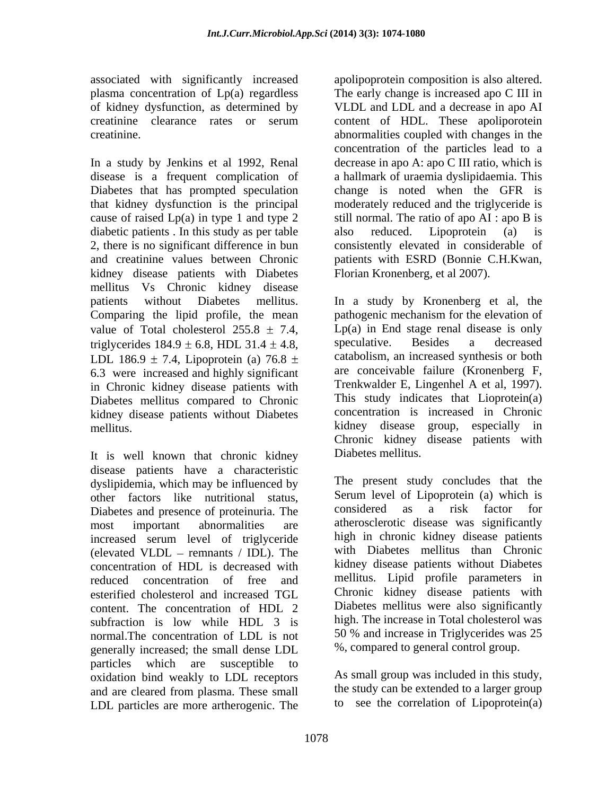plasma concentration of Lp(a) regardless

diabetic patients . In this study as per table also reduced. Lipoprotein (a) is kidney disease patients with Diabetes mellitus Vs Chronic kidney disease value of Total cholesterol  $255.8 \pm 7.4$ , 6.3 were increased and highly significant in Chronic kidney disease patients with Diabetes mellitus compared to Chronic kidney disease patients without Diabetes concentration is<br>mellitus kidney disease mellitus. The contract of the contract of the contract of the contract of the contract of the contract of the contract of the contract of the contract of the contract of the contract of the contract of the contract of the

It is well known that chronic kidney disease patients have a characteristic dyslipidemia, which may be influenced by other factors like nutritional status, Serum level of Lipoprotein (a) which is<br>Dishetes and presence of proteinuria The considered as a risk factor for Diabetes and presence of proteinuria. The increased serum level of triglyceride (elevated VLDL  $-$  remnants / IDL). The concentration of HDL is decreased with reduced concentration of free and esterified cholesterol and increased TGL content. The concentration of HDL 2 subfraction is low while HDL 3 is normal.The concentration of LDL is not generally increased; the small dense LDL particles which are susceptible to oxidation bind weakly to LDL receptors and are cleared from plasma. These small LDL particles are more artherogenic. The

associated with significantly increased apolipoprotein composition is also altered. of kidney dysfunction, as determined by VLDL and LDL and a decrease in apo AI creatinine clearance rates or serum content of HDL. These apoliporotein creatinine. abnormalities coupled with changes in the In a study by Jenkins et al 1992, Renal decrease in apo A: apo C III ratio, which is disease is a frequent complication of a hallmark of uraemia dyslipidaemia. This Diabetes that has prompted speculation change is noted when the GFR is that kidney dysfunction is the principal moderately reduced and the triglyceride is cause of raised Lp(a) in type 1 and type 2 still normal. The ratio of apo AI : apo B is 2, there is no significant difference in bun consistently elevated in considerable of and creatinine values between Chronic patients with ESRD (Bonnie C.H.Kwan, The early change is increased apo C III in concentration of the particles lead to a also reduced. Lipoprotein (a) is Florian Kronenberg, et al 2007).

patients without Diabetes mellitus. In a study by Kronenberg et al, the Comparing the lipid profile, the mean pathogenic mechanism for the elevation of triglycerides 184.9  $\pm$  6.8, HDL 31.4  $\pm$  4.8, speculative. Besides a decreased<br>LDL 186.9  $\pm$  7.4, Lipoprotein (a) 76.8  $\pm$  catabolism, an increased synthesis or both  $Lp(a)$  in End stage renal disease is only speculative. Besides a decreased catabolism, an increased synthesis or both are conceivable failure (Kronenberg F, Trenkwalder E, Lingenhel A et al, 1997). This study indicates that Lioprotein(a) concentration is increased in Chronic kidney disease group, especially in Chronic kidney disease patients with Diabetes mellitus.

most important abnormalities are atherosclerotic disease was significantly The present study concludes that the Serum level of Lipoprotein (a) which is considered as a risk factor for high in chronic kidney disease patients with Diabetes mellitus than Chronic kidney disease patients without Diabetes mellitus. Lipid profile parameters in Chronic kidney disease patients with Diabetes mellitus were also significantly high. The increase in Total cholesterol was 50 % and increase in Triglycerides was 25 %, compared to general control group.

> As small group was included in this study, the study can be extended to a larger group to see the correlation of Lipoprotein(a)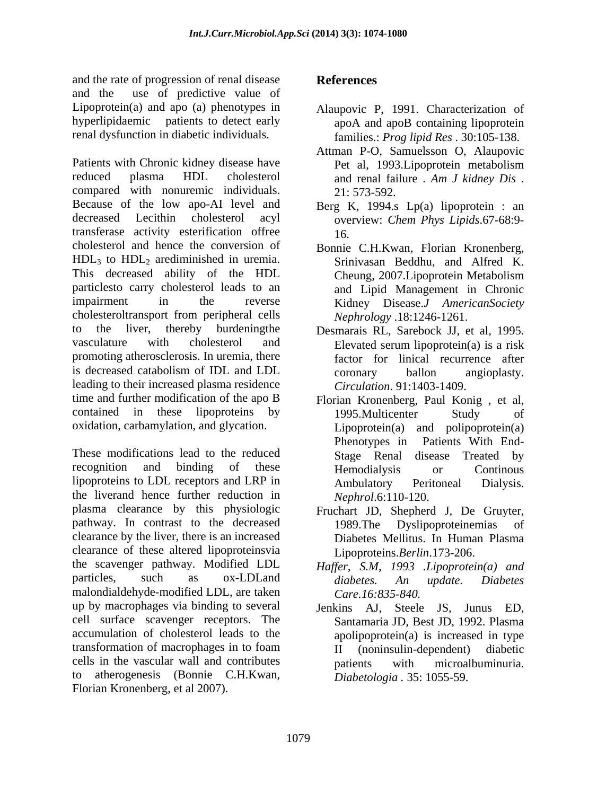and the rate of progression of renal disease **References** and the use of predictive value of Lipoprotein(a) and apo (a) phenotypes in hyperlipidaemic patients to detect early renal dysfunction in diabetic individuals.

Patients with Chronic kidney disease have Pet al, 1993. Lipoprotein metabolism reduced plasma HDL cholesterol and renal failure . *Am J kidney Dis* . compared with nonuremic individuals. 21:573-592. Because of the low apo-AI level and Berg K, 1994.s Lp(a) lipoprotein : an decreased Lecithin cholesterol acyl overview: *Chem Phys Lipids*.67-68:9 transferase activity esterification offree cholesterol and hence the conversion of Bonnie C.H.Kwan, Florian Kronenberg,  $HDL<sub>3</sub>$  to  $HDL<sub>2</sub>$  arediminished in uremia. This decreased ability of the HDL Cheung, 2007. Lipoprotein Metabolism particlesto carry cholesterol leads to an impairment in the reverse Kidney Disease.*J AmericanSociety* cholesteroltransport from peripheral cells to the liver, thereby burdeningthe Desmarais RL, Sarebock JJ, et al, 1995. vasculature with cholesterol and Elevated serum lipoprotein(a) is a risk promoting atherosclerosis. In uremia, there is decreased catabolism of IDL and LDL leading to their increased plasma residence time and further modification of the apo B contained in these lipoproteins by 1995. Multicenter Study of oxidation, carbamylation, and glycation.

These modifications lead to the reduced Stage Renal disease Treated by recognition and binding of these Hemodialysis or Continuous lipoproteins to LDL receptors and LRP in Ambulatory Peritoneal Dialysis. the liverand hence further reduction in plasma clearance by this physiologic pathway. In contrast to the decreased 1989. The Dyslipoproteinemias of clearance by the liver, there is an increased clearance of these altered lipoproteinsvia the scavenger pathway. Modified LDL *Haffer*, S.M. 1993 *.Lipoprotein(a)* and particles, such as ox-LDLand diabetes. An update. Diabetes malondialdehyde-modified LDL, are taken up by macrophages via binding to several cell surface scavenger receptors. The Santamaria JD, Best JD, 1992. Plasma accumulation of cholesterol leads to the apolipoprotein(a) is increased in type transformation of macrophages in to foam cells in the vascular wall and contributes to atherogenesis (Bonnie C.H.Kwan, Florian Kronenberg, et al 2007).

### **References**

- Alaupovic P, 1991. Characterization of apoA and apoB containing lipoprotein families.: *Prog lipid Res* . 30:105-138.
- Attman P-O, Samuelsson O, Alaupovic Pet al, 1993.Lipoprotein metabolism 21: 573-592.
- 16.
- Srinivasan Beddhu, and Alfred K. Cheung, 2007.Lipoprotein Metabolism and Lipid Management in Chronic *Nephrology* .18:1246-1261.
- Elevated serum lipoprotein(a) is a risk factor for linical recurrence after coronary ballon angioplasty. *Circulation*. 91:1403-1409.
- Florian Kronenberg, Paul Konig , et al, 1995.Multicenter Study of Lipoprotein(a) and polipoprotein(a) Phenotypes in Patients With End- Hemodialysis or Continous Ambulatory Peritoneal Dialysis. *Nephrol*.6:110-120.
- Fruchart JD, Shepherd J, De Gruyter, 1989.The Dyslipoproteinemias of Diabetes Mellitus. In Human Plasma Lipoproteins.*Berlin*.173-206.
- *diabetes. An update. Diabetes Care.16:835-840.*
- Jenkins AJ, Steele JS, Junus ED, II (noninsulin-dependent) diabetic patients with microalbuminuria. *Diabetologia .* 35: 1055-59.